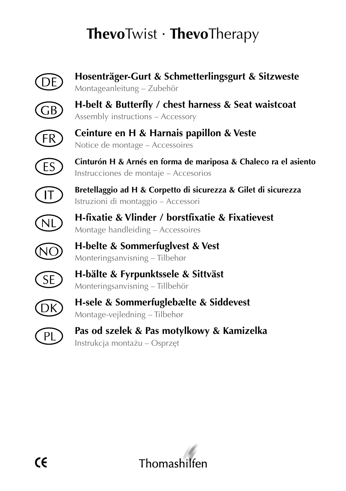## **Thevo**Twist · **Thevo**Therapy



**Hosenträger-Gurt & Schmetterlingsgurt & Sitzweste** Montageanleitung – Zubehör



**H-belt & Butterfly / chest harness & Seat waistcoat** Assembly instructions – Accessory



**Ceinture en H & Harnais papillon & Veste** Notice de montage – Accessoires



**Cinturón H & Arnés en forma de mariposa & Chaleco ra el asiento** Instrucciones de montaje – Accesorios



**Bretellaggio ad H & Corpetto di sicurezza & Gilet di sicurezza** Istruzioni di montaggio – Accessori



**H-fixatie & Vlinder / borstfixatie & Fixatievest** Montage handleiding – Accessoires

**H-belte & Sommerfuglvest & Vest** Monteringsanvisning – Tilbehør



**H-bälte & Fyrpunktssele & Sittväst** Monteringsanvisning – Tillbehör



**H-sele & Sommerfuglebælte & Siddevest** Montage-vejledning – Tilbehør



**Pas od szelek & Pas motylkowy & Kamizelka** Instrukcja montażu – Osprzęt

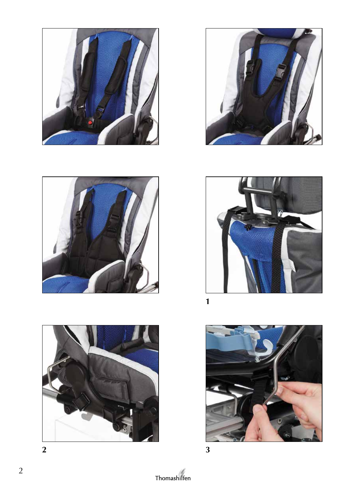

















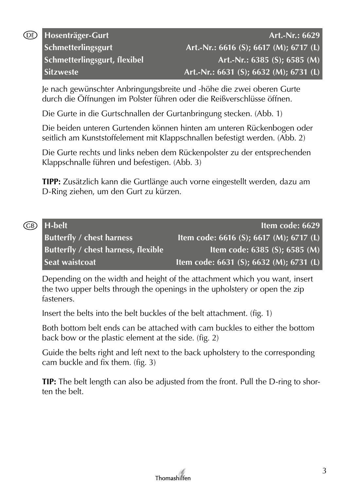Je nach gewünschter Anbringungsbreite und -höhe die zwei oberen Gurte durch die Öffnungen im Polster führen oder die Reißverschlüsse öffnen.

Die Gurte in die Gurtschnallen der Gurtanbringung stecken. (Abb. 1)

Die beiden unteren Gurtenden können hinten am unteren Rückenbogen oder seitlich am Kunststoffelement mit Klappschnallen befestigt werden. (Abb. 2)

Die Gurte rechts und links neben dem Rückenpolster zu der entsprechenden Klappschnalle führen und befestigen. (Abb. 3)

**TIPP:** Zusätzlich kann die Gurtlänge auch vorne eingestellt werden, dazu am D-Ring ziehen, um den Gurt zu kürzen.

| GB) | H-belt                                     | Item code: 6629                         |
|-----|--------------------------------------------|-----------------------------------------|
|     | <b>Butterfly / chest harness</b>           | Item code: 6616 (S); 6617 (M); 6717 (L) |
|     | <b>Butterfly / chest harness, flexible</b> | Item code: $6385$ (S); $6585$ (M)       |
|     | Seat waistcoat                             | Item code: 6631 (S); 6632 (M); 6731 (L) |

Depending on the width and height of the attachment which you want, insert the two upper belts through the openings in the upholstery or open the zip fasteners.

Insert the belts into the belt buckles of the belt attachment. (fig. 1)

Both bottom belt ends can be attached with cam buckles to either the bottom back bow or the plastic element at the side. (fig. 2)

Guide the belts right and left next to the back upholstery to the corresponding cam buckle and fix them. (fig. 3)

**TIP:** The belt length can also be adjusted from the front. Pull the D-ring to shorten the belt.

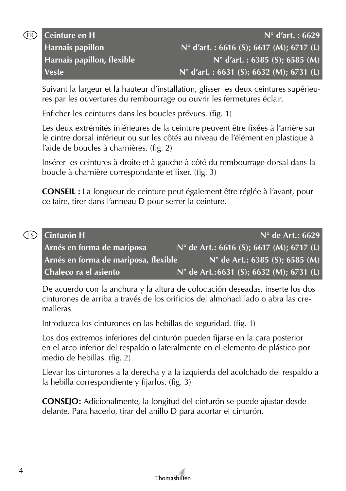

| Ceinture en H                     |                                    |
|-----------------------------------|------------------------------------|
| <b>Harnais papillon</b>           | $N^{\circ}$ d'art.: 6616 (S); 6617 |
| <b>Harnais papillon, flexible</b> | $N^{\circ}$ d'art. : 6385          |
| Veste                             | $N^{\circ}$ d'art.: 6631 (S); 6632 |

Suivant la largeur et la hauteur d'installation, glisser les deux ceintures supérieures par les ouvertures du rembourrage ou ouvrir les fermetures éclair.

**Ceinture en H N° d'art. : 6629 (M): 6717 (L) Harnais papillon, flexible N° d'art. : 6385 (S); 6585 (M) (M)**; 6731 (L)

Enficher les ceintures dans les boucles prévues. (fig. 1)

Les deux extrémités inférieures de la ceinture peuvent être fixées à l'arrière sur le cintre dorsal inférieur ou sur les côtés au niveau de l'élément en plastique à l'aide de boucles à charnières. (fig. 2)

Insérer les ceintures à droite et à gauche à côté du rembourrage dorsal dans la boucle à charnière correspondante et fixer. (fig. 3)

**CONSEIL :** La longueur de ceinture peut également être réglée à l'avant, pour ce faire, tirer dans l'anneau D pour serrer la ceinture.

| (ES) Cinturón H                      |                                          | $N^{\circ}$ de Art.: 6629               |
|--------------------------------------|------------------------------------------|-----------------------------------------|
| Arnés en forma de mariposa           | N° de Art.: 6616 (S); 6617 (M); 6717 (L) |                                         |
| Arnés en forma de mariposa, flexible |                                          | $N^{\circ}$ de Art.: 6385 (S); 6585 (M) |
| Chaleco ra el asiento                | N° de Art.:6631 (S); 6632 (M); 6731 (L)  |                                         |

De acuerdo con la anchura y la altura de colocación deseadas, inserte los dos cinturones de arriba a través de los orificios del almohadillado o abra las cremalleras.

Introduzca los cinturones en las hebillas de seguridad. (fig. 1)

Los dos extremos inferiores del cinturón pueden fijarse en la cara posterior en el arco inferior del respaldo o lateralmente en el elemento de plástico por medio de hebillas. (fig. 2)

Llevar los cinturones a la derecha y a la izquierda del acolchado del respaldo a la hebilla correspondiente y fijarlos. (fig. 3)

**CONSEJO:** Adicionalmente, la longitud del cinturón se puede ajustar desde delante. Para hacerlo, tirar del anillo D para acortar el cinturón.

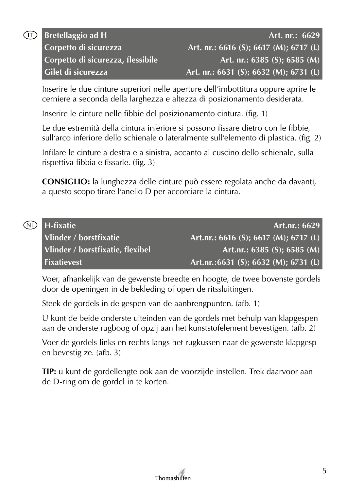| <b>Bretellaggio ad H</b>          | Art. nr.: 6629                         |
|-----------------------------------|----------------------------------------|
| Corpetto di sicurezza             | Art. nr.: 6616 (S); 6617 (M); 6717 (L) |
| Corpetto di sicurezza, flessibile | Art. nr.: $6385$ (S); $6585$ (M)       |
| Gilet di sicurezza                | Art. nr.: 6631 (S); 6632 (M); 6731 (L) |

Inserire le due cinture superiori nelle aperture dell'imbottitura oppure aprire le cerniere a seconda della larghezza e altezza di posizionamento desiderata.

Inserire le cinture nelle fibbie del posizionamento cintura. (fig. 1)

Le due estremità della cintura inferiore si possono fissare dietro con le fibbie, sull'arco inferiore dello schienale o lateralmente sull'elemento di plastica. (fig. 2)

Infilare le cinture a destra e a sinistra, accanto al cuscino dello schienale, sulla rispettiva fibbia e fissarle. (fig. 3)

**CONSIGLIO:** la lunghezza delle cinture può essere regolata anche da davanti, a questo scopo tirare l'anello D per accorciare la cintura.

| (ND H-fixatie)                   |                                       | Art.nr.: 6629 |
|----------------------------------|---------------------------------------|---------------|
| Vlinder / borstfixatie           | Art.nr.: 6616 (S); 6617 (M); 6717 (L) |               |
| Vlinder / borstfixatie, flexibel | Art.nr.: $6385$ (S); $6585$ (M)       |               |
| <b>Fixatievest</b>               | Art.nr.:6631 (S); 6632 (M); 6731 (L)  |               |

Voer, afhankelijk van de gewenste breedte en hoogte, de twee bovenste gordels door de openingen in de bekleding of open de ritssluitingen.

Steek de gordels in de gespen van de aanbrengpunten. (afb. 1)

U kunt de beide onderste uiteinden van de gordels met behulp van klapgespen aan de onderste rugboog of opzij aan het kunststofelement bevestigen. (afb. 2)

Voer de gordels links en rechts langs het rugkussen naar de gewenste klapgesp en bevestig ze. (afb. 3)

**TIP:** u kunt de gordellengte ook aan de voorzijde instellen. Trek daarvoor aan de D-ring om de gordel in te korten.

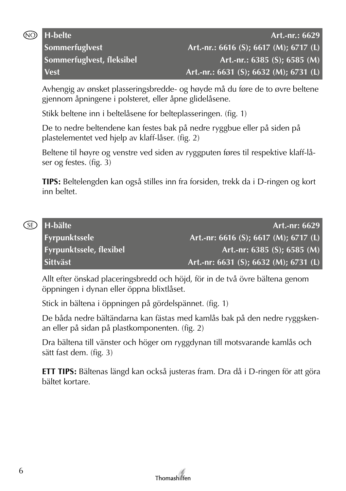

Avhengig av ønsket plasseringsbredde- og høyde må du føre de to øvre beltene gjennom åpningene i polsteret, eller åpne glidelåsene.

Stikk beltene inn i beltelåsene for belteplasseringen. (fig. 1)

De to nedre beltendene kan festes bak på nedre ryggbue eller på siden på plastelementet ved hjelp av klaff-låser. (fig. 2)

Beltene til høyre og venstre ved siden av ryggputen føres til respektive klaff-låser og festes. (fig. 3)

**TIPS:** Beltelengden kan også stilles inn fra forsiden, trekk da i D-ringen og kort inn beltet.

| (SE) | H-bälte                        | Art.-nr: 6629                                      |
|------|--------------------------------|----------------------------------------------------|
|      | <b>Fyrpunktssele</b>           | Art.-nr: 6616 (S); $\overline{6617}$ (M); 6717 (L) |
|      | <b>Fyrpunktssele, flexibel</b> | Art.-nr: $6385$ (S); $6585$ (M)                    |
|      | <b>Sittväst</b>                | Art.-nr: 6631 (S); 6632 (M); 6731 (L)              |

Allt efter önskad placeringsbredd och höjd, för in de två övre bältena genom öppningen i dynan eller öppna blixtlåset.

Stick in bältena i öppningen på gördelspännet. (fig. 1)

De båda nedre bältändarna kan fästas med kamlås bak på den nedre ryggskenan eller på sidan på plastkomponenten. (fig. 2)

Dra bältena till vänster och höger om ryggdynan till motsvarande kamlås och sätt fast dem. (fig. 3)

**ETT TIPS:** Bältenas längd kan också justeras fram. Dra då i D-ringen för att göra bältet kortare.

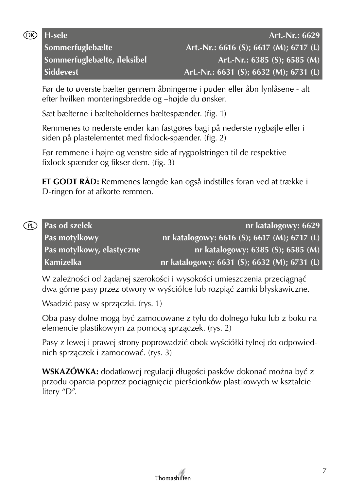

Før de to øverste bælter gennem åbningerne i puden eller åbn lynlåsene - alt efter hvilken monteringsbredde og –højde du ønsker.

Sæt bælterne i bælteholdernes bæltespænder. (fig. 1)

Remmenes to nederste ender kan fastgøres bagi på nederste rygbøjle eller i siden på plastelementet med fixlock-spænder. (fig. 2)

Før remmene i højre og venstre side af rygpolstringen til de respektive fixlock-spænder og fikser dem. (fig. 3)

**ET GODT RÅD:** Remmenes længde kan også indstilles foran ved at trække i D-ringen for at afkorte remmen.

| (PL) Pas od szelek        | nr katalogowy: 6629                         |
|---------------------------|---------------------------------------------|
| Pas motylkowy             | nr katalogowy: 6616 (S); 6617 (M); 6717 (L) |
| Pas motylkowy, elastyczne | $n$ r katalogowy: 6385 (S); 6585 (M)        |
| Kamizelka                 | nr katalogowy: 6631 (S); 6632 (M); 6731 (L) |

W zależności od żądanej szerokości i wysokości umieszczenia przeciągnąć dwa górne pasy przez otwory w wyściółce lub rozpiąć zamki błyskawiczne.

Wsadzić pasy w sprzączki. (rys. 1)

Oba pasy dolne mogą być zamocowane z tyłu do dolnego łuku lub z boku na elemencie plastikowym za pomocą sprzączek. (rys. 2)

Pasy z lewej i prawej strony poprowadzić obok wyściółki tylnej do odpowiednich sprzączek i zamocować. (rys. 3)

**WSKAZÓWKA:** dodatkowej regulacji długości pasków dokonać można być z przodu oparcia poprzez pociągnięcie pierścionków plastikowych w kształcie litery "D".